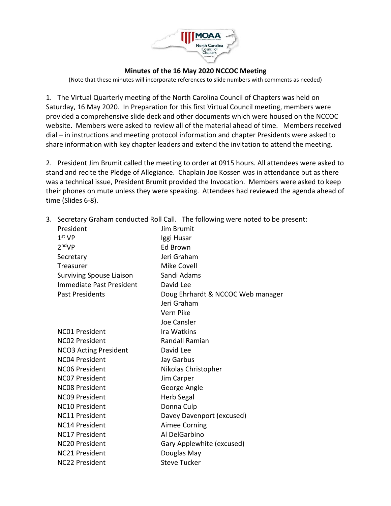

## **Minutes of the 16 May 2020 NCCOC Meeting**

(Note that these minutes will incorporate references to slide numbers with comments as needed)

1. The Virtual Quarterly meeting of the North Carolina Council of Chapters was held on Saturday, 16 May 2020. In Preparation for this first Virtual Council meeting, members were provided a comprehensive slide deck and other documents which were housed on the NCCOC website. Members were asked to review all of the material ahead of time. Members received dial – in instructions and meeting protocol information and chapter Presidents were asked to share information with key chapter leaders and extend the invitation to attend the meeting.

2. President Jim Brumit called the meeting to order at 0915 hours. All attendees were asked to stand and recite the Pledge of Allegiance. Chaplain Joe Kossen was in attendance but as there was a technical issue, President Brumit provided the Invocation. Members were asked to keep their phones on mute unless they were speaking. Attendees had reviewed the agenda ahead of time (Slides 6-8).

3. Secretary Graham conducted Roll Call. The following were noted to be present:

| President                       | Jim Brumit                        |
|---------------------------------|-----------------------------------|
| $1st$ VP                        | Iggi Husar                        |
| 2 <sup>nd</sup> VP              | Ed Brown                          |
| Secretary                       | Jeri Graham                       |
| Treasurer                       | <b>Mike Covell</b>                |
| <b>Surviving Spouse Liaison</b> | Sandi Adams                       |
| Immediate Past President        | David Lee                         |
| <b>Past Presidents</b>          | Doug Ehrhardt & NCCOC Web manager |
|                                 | Jeri Graham                       |
|                                 | Vern Pike                         |
|                                 | Joe Cansler                       |
| <b>NC01 President</b>           | Ira Watkins                       |
| <b>NC02 President</b>           | Randall Ramian                    |
| <b>NCO3 Acting President</b>    | David Lee                         |
| <b>NC04 President</b>           | Jay Garbus                        |
| NC06 President                  | Nikolas Christopher               |
| <b>NCO7 President</b>           | Jim Carper                        |
| <b>NC08 President</b>           | George Angle                      |
| <b>NC09 President</b>           | Herb Segal                        |
| <b>NC10 President</b>           | Donna Culp                        |
| <b>NC11 President</b>           | Davey Davenport (excused)         |
| <b>NC14 President</b>           | <b>Aimee Corning</b>              |
| <b>NC17 President</b>           | Al DelGarbino                     |
| <b>NC20 President</b>           | Gary Applewhite (excused)         |
| <b>NC21 President</b>           | Douglas May                       |
| <b>NC22 President</b>           | <b>Steve Tucker</b>               |
|                                 |                                   |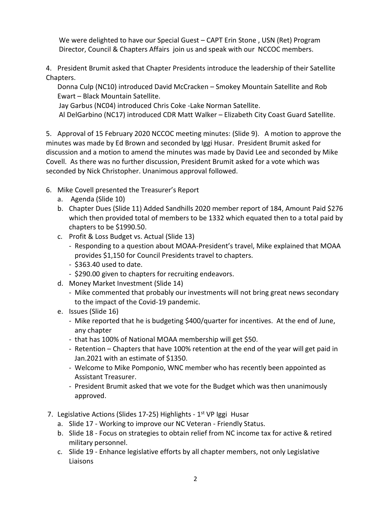We were delighted to have our Special Guest – CAPT Erin Stone , USN (Ret) Program Director, Council & Chapters Affairs join us and speak with our NCCOC members.

4. President Brumit asked that Chapter Presidents introduce the leadership of their Satellite Chapters.

Donna Culp (NC10) introduced David McCracken – Smokey Mountain Satellite and Rob Ewart – Black Mountain Satellite.

Jay Garbus (NC04) introduced Chris Coke -Lake Norman Satellite.

Al DelGarbino (NC17) introduced CDR Matt Walker – Elizabeth City Coast Guard Satellite.

5. Approval of 15 February 2020 NCCOC meeting minutes: (Slide 9). A motion to approve the minutes was made by Ed Brown and seconded by Iggi Husar. President Brumit asked for discussion and a motion to amend the minutes was made by David Lee and seconded by Mike Covell. As there was no further discussion, President Brumit asked for a vote which was seconded by Nick Christopher. Unanimous approval followed.

- 6. Mike Covell presented the Treasurer's Report
	- a. Agenda (Slide 10)
	- b. Chapter Dues (Slide 11) Added Sandhills 2020 member report of 184, Amount Paid \$276 which then provided total of members to be 1332 which equated then to a total paid by chapters to be \$1990.50.
	- c. Profit & Loss Budget vs. Actual (Slide 13)
		- Responding to a question about MOAA-President's travel, Mike explained that MOAA provides \$1,150 for Council Presidents travel to chapters.
		- \$363.40 used to date.
		- \$290.00 given to chapters for recruiting endeavors.
	- d. Money Market Investment (Slide 14)
		- Mike commented that probably our investments will not bring great news secondary to the impact of the Covid-19 pandemic.
	- e. Issues (Slide 16)
		- Mike reported that he is budgeting \$400/quarter for incentives. At the end of June, any chapter
		- that has 100% of National MOAA membership will get \$50.
		- Retention Chapters that have 100% retention at the end of the year will get paid in Jan.2021 with an estimate of \$1350.
		- Welcome to Mike Pomponio, WNC member who has recently been appointed as Assistant Treasurer.
		- President Brumit asked that we vote for the Budget which was then unanimously approved.
- 7. Legislative Actions (Slides 17-25) Highlights 1<sup>st</sup> VP Iggi Husar
	- a. Slide 17 Working to improve our NC Veteran Friendly Status.
	- b. Slide 18 Focus on strategies to obtain relief from NC income tax for active & retired military personnel.
	- c. Slide 19 Enhance legislative efforts by all chapter members, not only Legislative Liaisons